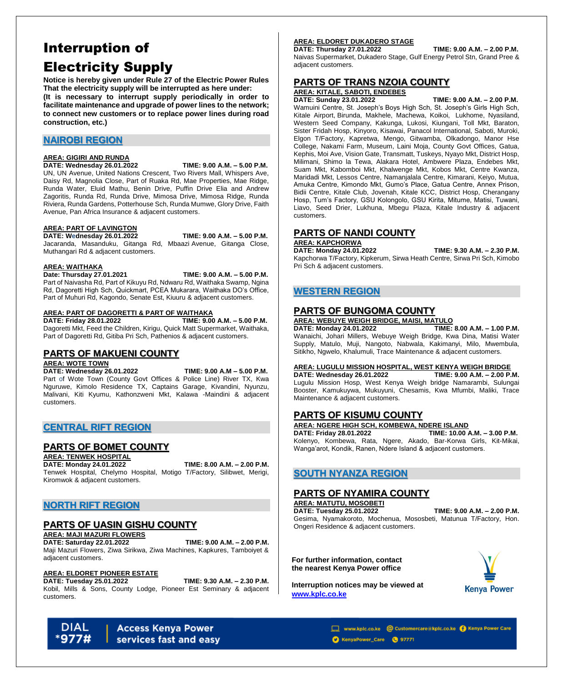# Interruption of

# Electricity Supply

**Notice is hereby given under Rule 27 of the Electric Power Rules That the electricity supply will be interrupted as here under: (It is necessary to interrupt supply periodically in order to facilitate maintenance and upgrade of power lines to the network; to connect new customers or to replace power lines during road construction, etc.)**

#### **NAIROBI REGION**

#### **AREA: GIGIRI AND RUNDA**

**DATE: Wednesday 26.01.2022 TIME: 9.00 A.M. – 5.00 P.M.** UN, UN Avenue, United Nations Crescent, Two Rivers Mall, Whispers Ave, Daisy Rd, Magnolia Close, Part of Ruaka Rd, Mae Properties, Mae Ridge, Runda Water, Eluid Mathu, Benin Drive, Puffin Drive Elia and Andrew Zagoritis, Runda Rd, Runda Drive, Mimosa Drive, Mimosa Ridge, Runda Riviera, Runda Gardens, Potterhouse Sch, Runda Mumwe, Glory Drive, Faith Avenue, Pan Africa Insurance & adjacent customers.

#### **AREA: PART OF LAVINGTON**

**DATE: Wednesday 26.01.2022 TIME: 9.00 A.M. – 5.00 P.M.** Jacaranda, Masanduku, Gitanga Rd, Mbaazi Avenue, Gitanga Close, Muthangari Rd & adjacent customers.

**AREA: WAITHAKA<br>Date: Thursday 27.01.2021 Date: Thursday 27.01.2021 TIME: 9.00 A.M. – 5.00 P.M.** Part of Naivasha Rd, Part of Kikuyu Rd, Ndwaru Rd, Waithaka Swamp, Ngina Rd, Dagoretti High Sch, Quickmart, PCEA Mukarara, Waithaka DO's Office, Part of Muhuri Rd, Kagondo, Senate Est, Kiuuru & adjacent customers.

# **AREA: PART OF DAGORETTI & PART OF WAITHAKA**

**DATE: Friday 28.01.2022 TIME: 9.00 A.M. – 5.00 P.M.** Dagoretti Mkt, Feed the Children, Kirigu, Quick Matt Supermarket, Waithaka, Part of Dagoretti Rd, Gitiba Pri Sch, Pathenios & adjacent customers.

### **PARTS OF MAKUENI COUNTY**

**AREA: WOTE TOWN**

**DATE: Wednesday 26.01.2022 TIME: 9.00 A.M – 5.00 P.M.** Part of Wote Town (County Govt Offices & Police Line) River TX, Kwa Nguruwe, Kimolo Residence TX, Captains Garage, Kivandini, Nyunzu, Malivani, Kiti Kyumu, Kathonzweni Mkt, Kalawa -Maindini & adjacent customers.

### **CENTRAL RIFT REGION**

### **PARTS OF BOMET COUNTY**

**AREA: TENWEK HOSPITAL DATE: Monday 24.01.2022 TIME: 8.00 A.M. – 2.00 P.M.** Tenwek Hospital, Chelymo Hospital, Motigo T/Factory, Silibwet, Merigi, Kiromwok & adjacent customers.

#### **NORTH RIFT REGION**

### **PARTS OF UASIN GISHU COUNTY**

**AREA: MAJI MAZURI FLOWERS DATE: Saturday 22.01.2022 TIME: 9.00 A.M. – 2.00 P.M.** Maji Mazuri Flowers, Ziwa Sirikwa, Ziwa Machines, Kapkures, Tamboiyet & adjacent customers.

#### **AREA: ELDORET PIONEER ESTATE**

**DATE: Tuesday 25.01.2022 TIME: 9.30 A.M. – 2.30 P.M.** Kobil, Mills & Sons, County Lodge, Pioneer Est Seminary & adjacent customers.

#### **AREA: ELDORET DUKADERO STAGE**

**DATE: Thursday 27.01.2022 TIME: 9.00 A.M. – 2.00 P.M.** Naivas Supermarket, Dukadero Stage, Gulf Energy Petrol Stn, Grand Pree &

# **PARTS OF TRANS NZOIA COUNTY**

### **AREA: KITALE, SABOTI, ENDEBES**

**DATE: Sunday 23.01.2022 TIME: 9.00 A.M. – 2.00 P.M.**

adjacent customers.

Wamuini Centre, St. Joseph's Boys High Sch, St. Joseph's Girls High Sch, Kitale Airport, Birunda, Makhele, Machewa, Koikoi, Lukhome, Nyasiland, Western Seed Company, Kakunga, Lukosi, Kiungani, Toll Mkt, Baraton, Sister Fridah Hosp, Kinyoro, Kisawai, Panacol International, Saboti, Muroki, Elgon T/Factory, Kapretwa, Mengo, Gitwamba, Olkadongo, Manor Hse College, Nakami Farm, Museum, Laini Moja, County Govt Offices, Gatua, Kephis, Moi Ave, Vision Gate, Transmatt, Tuskeys, Nyayo Mkt, District Hosp, Milimani, Shimo la Tewa, Alakara Hotel, Ambwere Plaza, Endebes Mkt, Suam Mkt, Kabomboi Mkt, Khalwenge Mkt, Kobos Mkt, Centre Kwanza, Maridadi Mkt, Lessos Centre, Namanjalala Centre, Kimarani, Keiyo, Mutua, Amuka Centre, Kimondo Mkt, Gumo's Place, Gatua Centre, Annex Prison, Bidii Centre, Kitale Club, Jovenah, Kitale KCC, District Hosp, Cherangany Hosp, Tum's Factory, GSU Kolongolo, GSU Kirita, Mitume, Matisi, Tuwani, Liavo, Seed Drier, Lukhuna, Mbegu Plaza, Kitale Industry & adjacent customers.

#### **PARTS OF NANDI COUNTY**

**AREA: KAPCHORWA** 

**DATE: Monday 24.01.2022 TIME: 9.30 A.M. – 2.30 P.M.**

Kapchorwa T/Factory, Kipkerum, Sirwa Heath Centre, Sirwa Pri Sch, Kimobo Pri Sch & adjacent customers.

### **WESTERN REGION**

#### **PARTS OF BUNGOMA COUNTY**

**AREA: WEBUYE WEIGH BRIDGE, MAISI, MATULO**

**DATE: Monday 24.01.2022** Wanaichi, Johari Millers, Webuye Weigh Bridge, Kwa Dina, Matisi Water Supply, Matulo, Muji, Nangoto, Nabwala, Kakimanyi, Milo, Mwembula, Sitikho, Ngwelo, Khalumuli, Trace Maintenance & adjacent customers.

# **AREA: LUGULU MISSION HOSPITAL, WEST KENYA WEIGH BRIDGE**

**DATE: Wednesday 26.01.2022** Lugulu Mission Hosp, West Kenya Weigh bridge Namarambi, Sulungai Booster, Kamukuywa, Mukuyuni, Chesamis, Kwa Mfumbi, Maliki, Trace Maintenance & adjacent customers.

### **PARTS OF KISUMU COUNTY**

**AREA: NGERE HIGH SCH, KOMBEWA, NDERE ISLAND DATE: Friday 28.01.2022 TIME: 10.00 A.M. – 3.00 P.M.**

Kolenyo, Kombewa, Rata, Ngere, Akado, Bar-Korwa Girls, Kit-Mikai, Wanga'arot, Kondik, Ranen, Ndere Island & adjacent customers.

### **SOUTH NYANZA REGION**

#### **PARTS OF NYAMIRA COUNTY**

**AREA: MATUTU, MOSOBETI**

**DATE: Tuesday 25.01.2022 TIME: 9.00 A.M. – 2.00 P.M.** Gesima, Nyamakoroto, Mochenua, Mososbeti, Matunua T/Factory, Hon. Ongeri Residence & adjacent customers.

**For further information, contact the nearest Kenya Power office**



 **[www.kplc.co.ke](http://www.kplc.co.ke/)Interruption notices may be viewed at**

# **Access Kenya Power** services fast and easy

www.kplc.co.ke @ Customercare@kplc.co.ke @ Kenya Power Care KenyaPower\_Care @ 97771